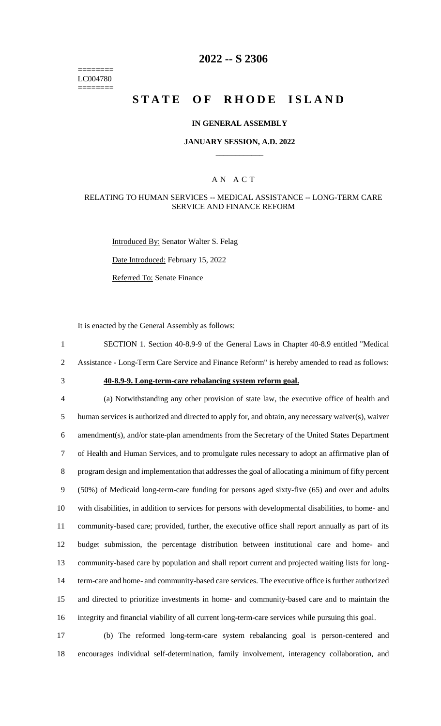======== LC004780 ========

# **2022 -- S 2306**

# **STATE OF RHODE ISLAND**

### **IN GENERAL ASSEMBLY**

### **JANUARY SESSION, A.D. 2022 \_\_\_\_\_\_\_\_\_\_\_\_**

### A N A C T

### RELATING TO HUMAN SERVICES -- MEDICAL ASSISTANCE -- LONG-TERM CARE SERVICE AND FINANCE REFORM

Introduced By: Senator Walter S. Felag Date Introduced: February 15, 2022

Referred To: Senate Finance

It is enacted by the General Assembly as follows:

1 SECTION 1. Section 40-8.9-9 of the General Laws in Chapter 40-8.9 entitled "Medical 2 Assistance - Long-Term Care Service and Finance Reform" is hereby amended to read as follows:

# 3 **40-8.9-9. Long-term-care rebalancing system reform goal.**

 (a) Notwithstanding any other provision of state law, the executive office of health and human services is authorized and directed to apply for, and obtain, any necessary waiver(s), waiver amendment(s), and/or state-plan amendments from the Secretary of the United States Department of Health and Human Services, and to promulgate rules necessary to adopt an affirmative plan of program design and implementation that addresses the goal of allocating a minimum of fifty percent (50%) of Medicaid long-term-care funding for persons aged sixty-five (65) and over and adults with disabilities, in addition to services for persons with developmental disabilities, to home- and community-based care; provided, further, the executive office shall report annually as part of its budget submission, the percentage distribution between institutional care and home- and community-based care by population and shall report current and projected waiting lists for long- term-care and home- and community-based care services. The executive office is further authorized and directed to prioritize investments in home- and community-based care and to maintain the integrity and financial viability of all current long-term-care services while pursuing this goal.

17 (b) The reformed long-term-care system rebalancing goal is person-centered and 18 encourages individual self-determination, family involvement, interagency collaboration, and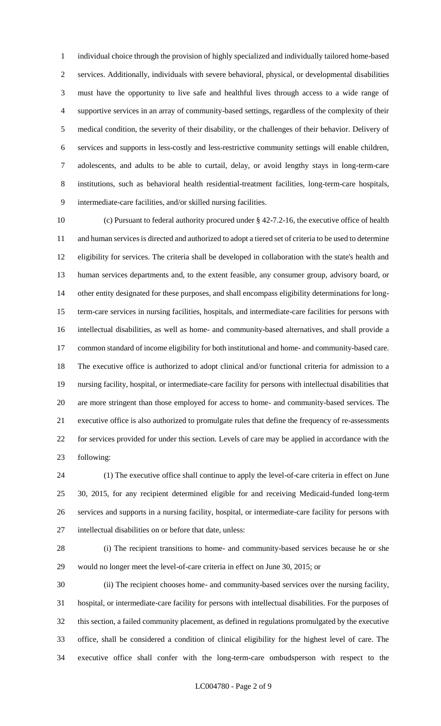individual choice through the provision of highly specialized and individually tailored home-based services. Additionally, individuals with severe behavioral, physical, or developmental disabilities must have the opportunity to live safe and healthful lives through access to a wide range of supportive services in an array of community-based settings, regardless of the complexity of their medical condition, the severity of their disability, or the challenges of their behavior. Delivery of services and supports in less-costly and less-restrictive community settings will enable children, adolescents, and adults to be able to curtail, delay, or avoid lengthy stays in long-term-care institutions, such as behavioral health residential-treatment facilities, long-term-care hospitals, intermediate-care facilities, and/or skilled nursing facilities.

 (c) Pursuant to federal authority procured under § 42-7.2-16, the executive office of health and human services is directed and authorized to adopt a tiered set of criteria to be used to determine eligibility for services. The criteria shall be developed in collaboration with the state's health and human services departments and, to the extent feasible, any consumer group, advisory board, or other entity designated for these purposes, and shall encompass eligibility determinations for long- term-care services in nursing facilities, hospitals, and intermediate-care facilities for persons with intellectual disabilities, as well as home- and community-based alternatives, and shall provide a common standard of income eligibility for both institutional and home- and community-based care. The executive office is authorized to adopt clinical and/or functional criteria for admission to a nursing facility, hospital, or intermediate-care facility for persons with intellectual disabilities that are more stringent than those employed for access to home- and community-based services. The executive office is also authorized to promulgate rules that define the frequency of re-assessments for services provided for under this section. Levels of care may be applied in accordance with the following:

 (1) The executive office shall continue to apply the level-of-care criteria in effect on June 30, 2015, for any recipient determined eligible for and receiving Medicaid-funded long-term services and supports in a nursing facility, hospital, or intermediate-care facility for persons with intellectual disabilities on or before that date, unless:

 (i) The recipient transitions to home- and community-based services because he or she would no longer meet the level-of-care criteria in effect on June 30, 2015; or

 (ii) The recipient chooses home- and community-based services over the nursing facility, hospital, or intermediate-care facility for persons with intellectual disabilities. For the purposes of this section, a failed community placement, as defined in regulations promulgated by the executive office, shall be considered a condition of clinical eligibility for the highest level of care. The executive office shall confer with the long-term-care ombudsperson with respect to the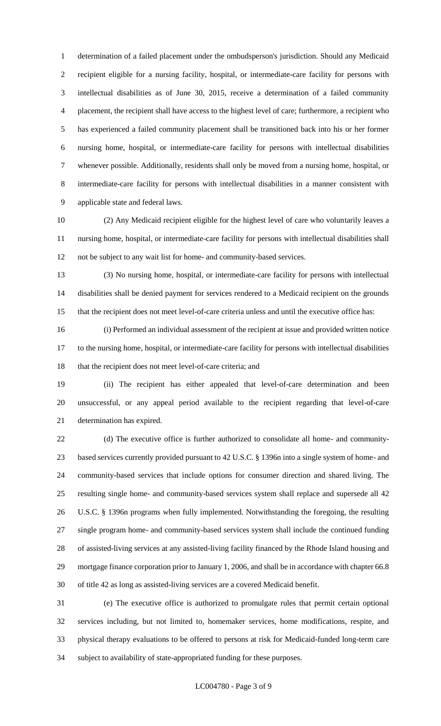determination of a failed placement under the ombudsperson's jurisdiction. Should any Medicaid recipient eligible for a nursing facility, hospital, or intermediate-care facility for persons with intellectual disabilities as of June 30, 2015, receive a determination of a failed community placement, the recipient shall have access to the highest level of care; furthermore, a recipient who has experienced a failed community placement shall be transitioned back into his or her former nursing home, hospital, or intermediate-care facility for persons with intellectual disabilities whenever possible. Additionally, residents shall only be moved from a nursing home, hospital, or intermediate-care facility for persons with intellectual disabilities in a manner consistent with applicable state and federal laws.

 (2) Any Medicaid recipient eligible for the highest level of care who voluntarily leaves a nursing home, hospital, or intermediate-care facility for persons with intellectual disabilities shall not be subject to any wait list for home- and community-based services.

 (3) No nursing home, hospital, or intermediate-care facility for persons with intellectual disabilities shall be denied payment for services rendered to a Medicaid recipient on the grounds that the recipient does not meet level-of-care criteria unless and until the executive office has:

 (i) Performed an individual assessment of the recipient at issue and provided written notice to the nursing home, hospital, or intermediate-care facility for persons with intellectual disabilities 18 that the recipient does not meet level-of-care criteria; and

 (ii) The recipient has either appealed that level-of-care determination and been unsuccessful, or any appeal period available to the recipient regarding that level-of-care determination has expired.

 (d) The executive office is further authorized to consolidate all home- and community- based services currently provided pursuant to 42 U.S.C. § 1396n into a single system of home- and community-based services that include options for consumer direction and shared living. The resulting single home- and community-based services system shall replace and supersede all 42 U.S.C. § 1396n programs when fully implemented. Notwithstanding the foregoing, the resulting single program home- and community-based services system shall include the continued funding of assisted-living services at any assisted-living facility financed by the Rhode Island housing and mortgage finance corporation prior to January 1, 2006, and shall be in accordance with chapter 66.8 of title 42 as long as assisted-living services are a covered Medicaid benefit.

 (e) The executive office is authorized to promulgate rules that permit certain optional services including, but not limited to, homemaker services, home modifications, respite, and physical therapy evaluations to be offered to persons at risk for Medicaid-funded long-term care subject to availability of state-appropriated funding for these purposes.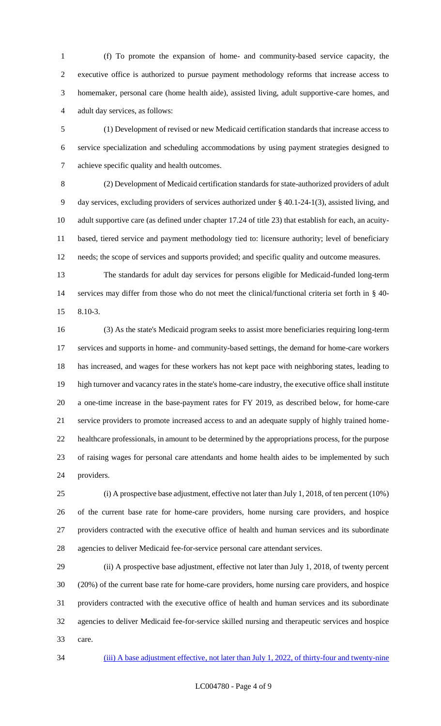(f) To promote the expansion of home- and community-based service capacity, the executive office is authorized to pursue payment methodology reforms that increase access to homemaker, personal care (home health aide), assisted living, adult supportive-care homes, and adult day services, as follows:

 (1) Development of revised or new Medicaid certification standards that increase access to service specialization and scheduling accommodations by using payment strategies designed to achieve specific quality and health outcomes.

 (2) Development of Medicaid certification standards for state-authorized providers of adult day services, excluding providers of services authorized under § 40.1-24-1(3), assisted living, and adult supportive care (as defined under chapter 17.24 of title 23) that establish for each, an acuity- based, tiered service and payment methodology tied to: licensure authority; level of beneficiary needs; the scope of services and supports provided; and specific quality and outcome measures.

 The standards for adult day services for persons eligible for Medicaid-funded long-term services may differ from those who do not meet the clinical/functional criteria set forth in § 40- 8.10-3.

 (3) As the state's Medicaid program seeks to assist more beneficiaries requiring long-term services and supports in home- and community-based settings, the demand for home-care workers has increased, and wages for these workers has not kept pace with neighboring states, leading to high turnover and vacancy rates in the state's home-care industry, the executive office shall institute a one-time increase in the base-payment rates for FY 2019, as described below, for home-care service providers to promote increased access to and an adequate supply of highly trained home- healthcare professionals, in amount to be determined by the appropriations process, for the purpose of raising wages for personal care attendants and home health aides to be implemented by such providers.

 (i) A prospective base adjustment, effective not later than July 1, 2018, of ten percent (10%) of the current base rate for home-care providers, home nursing care providers, and hospice providers contracted with the executive office of health and human services and its subordinate agencies to deliver Medicaid fee-for-service personal care attendant services.

 (ii) A prospective base adjustment, effective not later than July 1, 2018, of twenty percent (20%) of the current base rate for home-care providers, home nursing care providers, and hospice providers contracted with the executive office of health and human services and its subordinate agencies to deliver Medicaid fee-for-service skilled nursing and therapeutic services and hospice care.

(iii) A base adjustment effective, not later than July 1, 2022, of thirty-four and twenty-nine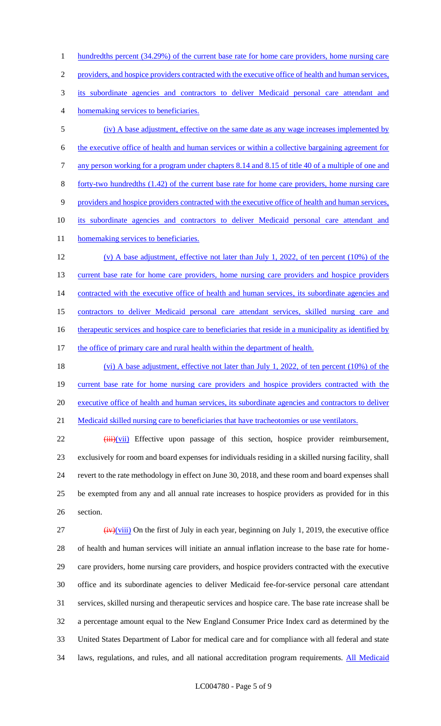1 hundredths percent (34.29%) of the current base rate for home care providers, home nursing care providers, and hospice providers contracted with the executive office of health and human services, its subordinate agencies and contractors to deliver Medicaid personal care attendant and homemaking services to beneficiaries. (iv) A base adjustment, effective on the same date as any wage increases implemented by the executive office of health and human services or within a collective bargaining agreement for any person working for a program under chapters 8.14 and 8.15 of title 40 of a multiple of one and forty-two hundredths (1.42) of the current base rate for home care providers, home nursing care providers and hospice providers contracted with the executive office of health and human services, its subordinate agencies and contractors to deliver Medicaid personal care attendant and 11 homemaking services to beneficiaries. (v) A base adjustment, effective not later than July 1, 2022, of ten percent (10%) of the 13 current base rate for home care providers, home nursing care providers and hospice providers 14 contracted with the executive office of health and human services, its subordinate agencies and contractors to deliver Medicaid personal care attendant services, skilled nursing care and 16 therapeutic services and hospice care to beneficiaries that reside in a municipality as identified by 17 the office of primary care and rural health within the department of health.

18 (vi) A base adjustment, effective not later than July 1, 2022, of ten percent (10%) of the 19 current base rate for home nursing care providers and hospice providers contracted with the 20 executive office of health and human services, its subordinate agencies and contractors to deliver 21 Medicaid skilled nursing care to beneficiaries that have tracheotomies or use ventilators.

22 (iii)(vii) Effective upon passage of this section, hospice provider reimbursement, 23 exclusively for room and board expenses for individuals residing in a skilled nursing facility, shall 24 revert to the rate methodology in effect on June 30, 2018, and these room and board expenses shall 25 be exempted from any and all annual rate increases to hospice providers as provided for in this 26 section.

 $\frac{1}{27}$  (iv)(viii) On the first of July in each year, beginning on July 1, 2019, the executive office of health and human services will initiate an annual inflation increase to the base rate for home- care providers, home nursing care providers, and hospice providers contracted with the executive office and its subordinate agencies to deliver Medicaid fee-for-service personal care attendant services, skilled nursing and therapeutic services and hospice care. The base rate increase shall be a percentage amount equal to the New England Consumer Price Index card as determined by the United States Department of Labor for medical care and for compliance with all federal and state 34 laws, regulations, and rules, and all national accreditation program requirements. All Medicaid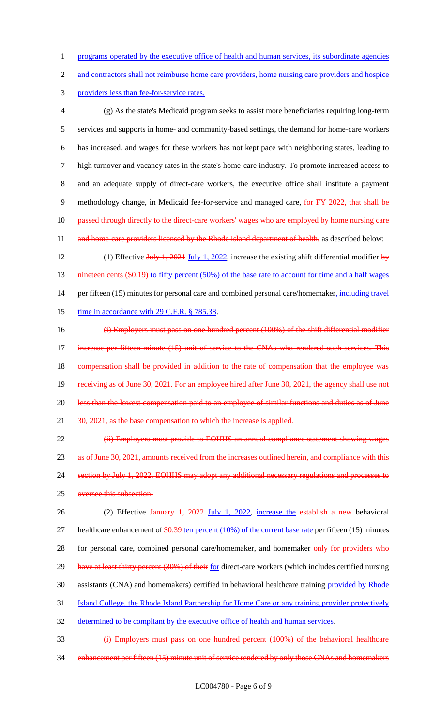1 programs operated by the executive office of health and human services, its subordinate agencies

2 and contractors shall not reimburse home care providers, home nursing care providers and hospice

3 providers less than fee-for-service rates.

 (g) As the state's Medicaid program seeks to assist more beneficiaries requiring long-term services and supports in home- and community-based settings, the demand for home-care workers has increased, and wages for these workers has not kept pace with neighboring states, leading to high turnover and vacancy rates in the state's home-care industry. To promote increased access to and an adequate supply of direct-care workers, the executive office shall institute a payment 9 methodology change, in Medicaid fee-for-service and managed care, for FY 2022, that shall be 10 passed through directly to the direct-care workers' wages who are employed by home nursing care 11 and home-care providers licensed by the Rhode Island department of health, as described below:

12 (1) Effective July 1, 2021 July 1, 2022, increase the existing shift differential modifier by 13 nineteen cents (\$0.19) to fifty percent (50%) of the base rate to account for time and a half wages 14 per fifteen (15) minutes for personal care and combined personal care/homemaker, including travel 15 time in accordance with 29 C.F.R. § 785.38.

16 (i) Employers must pass on one hundred percent (100%) of the shift differential modifier 17 increase per fifteen minute (15) unit of service to the CNAs who rendered such services. This 18 compensation shall be provided in addition to the rate of compensation that the employee was 19 receiving as of June 30, 2021. For an employee hired after June 30, 2021, the agency shall use not 20 less than the lowest compensation paid to an employee of similar functions and duties as of June 21 30, 2021, as the base compensation to which the increase is applied.

22 (ii) Employers must provide to EOHHS an annual compliance statement showing wages 23 as of June 30, 2021, amounts received from the increases outlined herein, and compliance with this 24 section by July 1, 2022. EOHHS may adopt any additional necessary regulations and processes to 25 oversee this subsection.

26 (2) Effective January 1, 2022 July 1, 2022, increase the establish a new behavioral 27 healthcare enhancement of  $$0.39$  ten percent (10%) of the current base rate per fifteen (15) minutes 28 for personal care, combined personal care/homemaker, and homemaker only for providers who 29 have at least thirty percent (30%) of their for direct-care workers (which includes certified nursing 30 assistants (CNA) and homemakers) certified in behavioral healthcare training provided by Rhode 31 Island College, the Rhode Island Partnership for Home Care or any training provider protectively 32 determined to be compliant by the executive office of health and human services.

33 (i) Employers must pass on one hundred percent (100%) of the behavioral healthcare 34 enhancement per fifteen (15) minute unit of service rendered by only those CNAs and homemakers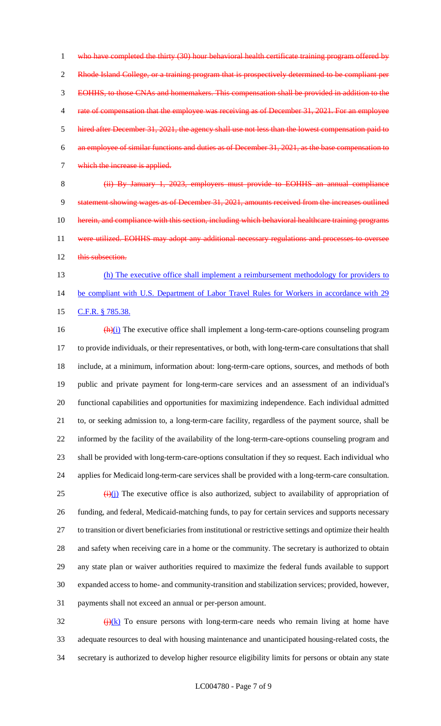1 who have completed the thirty (30) hour behavioral health certificate training program offered by 2 Rhode Island College, or a training program that is prospectively determined to be compliant per EOHHS, to those CNAs and homemakers. This compensation shall be provided in addition to the 4 rate of compensation that the employee was receiving as of December 31, 2021. For an employee hired after December 31, 2021, the agency shall use not less than the lowest compensation paid to an employee of similar functions and duties as of December 31, 2021, as the base compensation to which the increase is applied.

 (ii) By January 1, 2023, employers must provide to EOHHS an annual compliance statement showing wages as of December 31, 2021, amounts received from the increases outlined 10 herein, and compliance with this section, including which behavioral healthcare training programs 11 were utilized. EOHHS may adopt any additional necessary regulations and processes to oversee 12 this subsection.

13 (h) The executive office shall implement a reimbursement methodology for providers to 14 be compliant with U.S. Department of Labor Travel Rules for Workers in accordance with 29 15 C.F.R. § 785.38.

 $\frac{(\mathbf{h})(i)}{(\mathbf{h})(i)}$  The executive office shall implement a long-term-care-options counseling program to provide individuals, or their representatives, or both, with long-term-care consultations that shall include, at a minimum, information about: long-term-care options, sources, and methods of both public and private payment for long-term-care services and an assessment of an individual's functional capabilities and opportunities for maximizing independence. Each individual admitted to, or seeking admission to, a long-term-care facility, regardless of the payment source, shall be informed by the facility of the availability of the long-term-care-options counseling program and shall be provided with long-term-care-options consultation if they so request. Each individual who applies for Medicaid long-term-care services shall be provided with a long-term-care consultation.  $\left(\frac{1}{2}\right)(i)$  The executive office is also authorized, subject to availability of appropriation of funding, and federal, Medicaid-matching funds, to pay for certain services and supports necessary to transition or divert beneficiaries from institutional or restrictive settings and optimize their health and safety when receiving care in a home or the community. The secretary is authorized to obtain any state plan or waiver authorities required to maximize the federal funds available to support expanded access to home- and community-transition and stabilization services; provided, however, payments shall not exceed an annual or per-person amount.

 $\frac{f(x)}{f(x)}$  To ensure persons with long-term-care needs who remain living at home have adequate resources to deal with housing maintenance and unanticipated housing-related costs, the secretary is authorized to develop higher resource eligibility limits for persons or obtain any state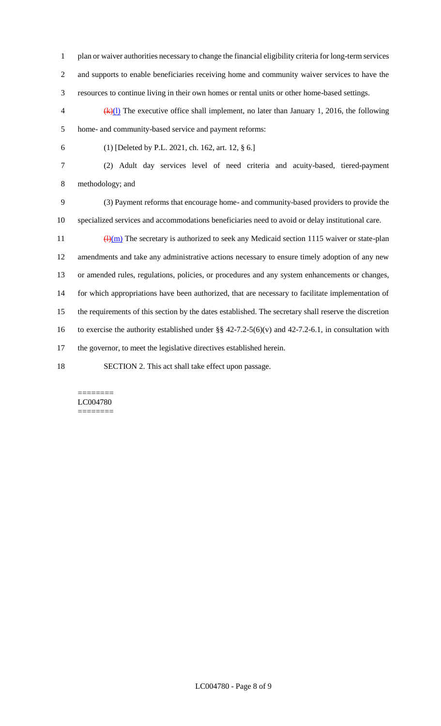- plan or waiver authorities necessary to change the financial eligibility criteria for long-term services and supports to enable beneficiaries receiving home and community waiver services to have the resources to continue living in their own homes or rental units or other home-based settings.
- $\frac{4}{x}(k)$  The executive office shall implement, no later than January 1, 2016, the following home- and community-based service and payment reforms:
- 

(1) [Deleted by P.L. 2021, ch. 162, art. 12, § 6.]

 (2) Adult day services level of need criteria and acuity-based, tiered-payment methodology; and

 (3) Payment reforms that encourage home- and community-based providers to provide the specialized services and accommodations beneficiaries need to avoid or delay institutional care.

 $\frac{(\mathrm{H})(\mathrm{m})}{(\mathrm{H})(\mathrm{m})}$  The secretary is authorized to seek any Medicaid section 1115 waiver or state-plan amendments and take any administrative actions necessary to ensure timely adoption of any new or amended rules, regulations, policies, or procedures and any system enhancements or changes, for which appropriations have been authorized, that are necessary to facilitate implementation of the requirements of this section by the dates established. The secretary shall reserve the discretion 16 to exercise the authority established under  $\S § 42-7.2-5(6)(v)$  and 42-7.2-6.1, in consultation with the governor, to meet the legislative directives established herein.

SECTION 2. This act shall take effect upon passage.

#### ======== LC004780 ========